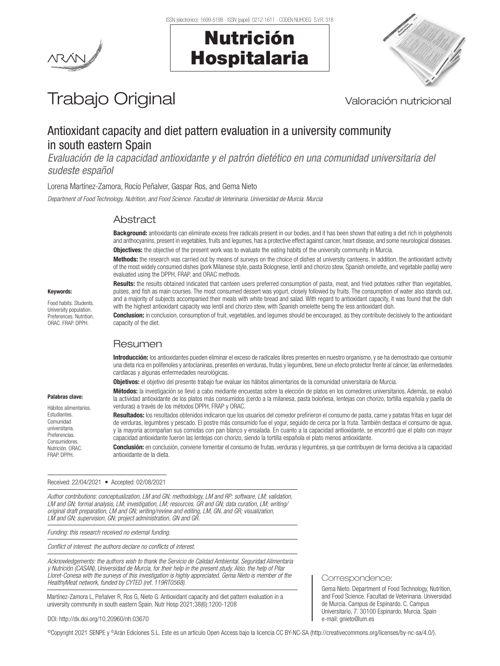Nutrición

Hospitalaria



# Trabajo Original Valoración nutricional

## Antioxidant capacity and diet pattern evaluation in a university community in south eastern Spain

*Evaluación de la capacidad antioxidante y el patrón dietético en una comunidad universitaria del sudeste español*

Lorena Martínez-Zamora, Rocío Peñalver, Gaspar Ros, and Gema Nieto

*Department of Food Technology, Nutrition, and Food Science. Facultad de Veterinaria. Universidad de Murcia. Murcia*

#### **Abstract**

**Background:** antioxidants can eliminate excess free radicals present in our bodies, and it has been shown that eating a diet rich in polyphenols and anthocyanins, present in vegetables, fruits and legumes, has a protective effect against cancer, heart disease, and some neurological diseases. **Objectives:** the objective of the present work was to evaluate the eating habits of the university community in Murcia.

Methods: the research was carried out by means of surveys on the choice of dishes at university canteens. In addition, the antioxidant activity of the most widely consumed dishes (pork Milanese style, pasta Bolognese, lentil and chorizo stew, Spanish omelette, and vegetable paella) were evaluated using the DPPH, FRAP, and ORAC methods.

Results: the results obtained indicated that canteen users preferred consumption of pasta, meat, and fried potatoes rather than vegetables, pulses, and fish as main courses. The most consumed dessert was yogurt, closely followed by fruits. The consumption of water also stands out, and a majority of subjects accompanied their meals with white bread and salad. With regard to antioxidant capacity, it was found that the dish with the highest antioxidant capacity was lentil and chorizo stew, with Spanish omelette being the less antioxidant dish.

**Conclusion:** in conclusion, consumption of fruit, vegetables, and legumes should be encouraged, as they contribute decisively to the antioxidant capacity of the diet.

### Resumen

Introducción: los antioxidantes pueden eliminar el exceso de radicales libres presentes en nuestro organismo, y se ha demostrado que consumir una dieta rica en polifenoles y antocianinas, presentes en verduras, frutas y legumbres, tiene un efecto protector frente al cáncer, las enfermedades cardíacas y algunas enfermedades neurológicas.

Objetivos: el objetivo del presente trabajo fue evaluar los hábitos alimentarios de la comunidad universitaria de Murcia.

Métodos: la investigación se llevó a cabo mediante encuestas sobre la elección de platos en los comedores universitarios. Además, se evaluó la actividad antioxidante de los platos más consumidos (cerdo a la milanesa, pasta boloñesa, lentejas con chorizo, tortilla española y paella de verduras) a través de los métodos DPPH, FRAP y ORAC.

Resultados: los resultados obtenidos indicaron que los usuarios del comedor prefirieron el consumo de pasta, carne y patatas fritas en lugar del de verduras, legumbres y pescado. El postre más consumido fue el yogur, seguido de cerca por la fruta. También destaca el consumo de agua, y la mayoría acompañan sus comidas con pan blanco y ensalada. En cuanto a la capacidad antioxidante, se encontró que el plato con mayor capacidad antioxidante fueron las lentejas con chorizo, siendo la tortilla española el plato menos antioxidante.

Conclusión: en conclusión, conviene fomentar el consumo de frutas, verduras y legumbres, ya que contribuyen de forma decisiva a la capacidad antioxidante de la dieta.

Received: 22/04/2021 • Accepted: 02/08/2021

*Author contributions: conceptualization, LM and GN; methodology, LM and RP; software, LM; validation, LM and GN; formal analysis, LM; investigation, LM; resources, GR and GN; data curation, LM; writing/ original draft preparation, LM and GN; writing/review and editing, LM, GN, and GR; visualization, LM and GN; supervision, GN; project administration, GN and GR.*

*Funding: this research received no external funding.*

*Conflict of interest: the authors declare no conflicts of interest.* 

*Acknowledgements: the authors wish to thank the Servicio de Calidad Ambiental, Seguridad Alimentaria y Nutrición (CASAN), Universidad de Murcia, for their help in the present study. Also, the help of Pilar Lloret-Conesa with the surveys of this investigation is highly appreciated. Gema Nieto is member of the HealthyMeat network, funded by CYTED (ref. 119RT0568).*

Martínez-Zamora L, Peñalver R, Ros G, Nieto G. Antioxidant capacity and diet pattern evaluation in a university community in south eastern Spain. Nutr Hosp 2021;38(6):1200-1208

#### DOI: http://dx.doi.org/10.20960/nh.03670

©Copyright 2021 SENPE y ©Arán Ediciones S.L. Este es un artículo Open Access bajo la licencia CC BY-NC-SA (http://creativecommons.org/licenses/by-nc-sa/4.0/).

#### Palabras clave:

Keywords: Food habits. Students. University population. Preferences. Nutrition. ORAC. FRAP. DPPH.

Hábitos alimentarios. Estudiantes. Comunidad universitaria. Preferencias. **Consumidores** Nutrición. ORAC. FRAP. DPPH.

Correspondence:

Gema Nieto. Department of Food Technology, Nutrition, and Food Science. Facultad de Veterinaria. Universidad de Murcia. Campus de Espinardo. C. Campus Universitario, 7. 30100 Espinardo, Murcia. Spain e-mail: gnieto@um.es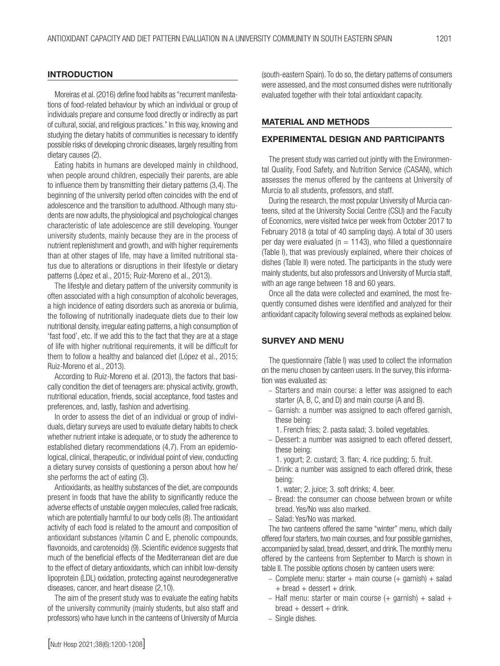#### INTRODUCTION

Moreiras et al. (2016) define food habits as "recurrent manifestations of food-related behaviour by which an individual or group of individuals prepare and consume food directly or indirectly as part of cultural, social, and religious practices." In this way, knowing and studying the dietary habits of communities is necessary to identify possible risks of developing chronic diseases, largely resulting from dietary causes (2).

Eating habits in humans are developed mainly in childhood, when people around children, especially their parents, are able to influence them by transmitting their dietary patterns (3,4). The beginning of the university period often coincides with the end of adolescence and the transition to adulthood. Although many students are now adults, the physiological and psychological changes characteristic of late adolescence are still developing. Younger university students, mainly because they are in the process of nutrient replenishment and growth, and with higher requirements than at other stages of life, may have a limited nutritional status due to alterations or disruptions in their lifestyle or dietary patterns (López et al., 2015; Ruiz-Moreno et al., 2013).

The lifestyle and dietary pattern of the university community is often associated with a high consumption of alcoholic beverages, a high incidence of eating disorders such as anorexia or bulimia, the following of nutritionally inadequate diets due to their low nutritional density, irregular eating patterns, a high consumption of 'fast food', etc. If we add this to the fact that they are at a stage of life with higher nutritional requirements, it will be difficult for them to follow a healthy and balanced diet (López et al., 2015; Ruiz-Moreno et al., 2013).

According to Ruiz-Moreno et al. (2013), the factors that basically condition the diet of teenagers are: physical activity, growth, nutritional education, friends, social acceptance, food tastes and preferences, and, lastly, fashion and advertising.

In order to assess the diet of an individual or group of individuals, dietary surveys are used to evaluate dietary habits to check whether nutrient intake is adequate, or to study the adherence to established dietary recommendations (4,7). From an epidemiological, clinical, therapeutic, or individual point of view, conducting a dietary survey consists of questioning a person about how he/ she performs the act of eating (3).

Antioxidants, as healthy substances of the diet, are compounds present in foods that have the ability to significantly reduce the adverse effects of unstable oxygen molecules, called free radicals, which are potentially harmful to our body cells (8). The antioxidant activity of each food is related to the amount and composition of antioxidant substances (vitamin C and E, phenolic compounds, flavonoids, and carotenoids) (9). Scientific evidence suggests that much of the beneficial effects of the Mediterranean diet are due to the effect of dietary antioxidants, which can inhibit low-density lipoprotein (LDL) oxidation, protecting against neurodegenerative diseases, cancer, and heart disease (2,10).

The aim of the present study was to evaluate the eating habits of the university community (mainly students, but also staff and professors) who have lunch in the canteens of University of Murcia

(south-eastern Spain). To do so, the dietary patterns of consumers were assessed, and the most consumed dishes were nutritionally evaluated together with their total antioxidant capacity.

#### MATERIAL AND METHODS

#### EXPERIMENTAL DESIGN AND PARTICIPANTS

The present study was carried out jointly with the Environmental Quality, Food Safety, and Nutrition Service (CASAN), which assesses the menus offered by the canteens at University of Murcia to all students, professors, and staff.

During the research, the most popular University of Murcia canteens, sited at the University Social Centre (CSU) and the Faculty of Economics, were visited twice per week from October 2017 to February 2018 (a total of 40 sampling days). A total of 30 users per day were evaluated ( $n = 1143$ ), who filled a questionnaire (Table I), that was previously explained, where their choices of dishes (Table II) were noted. The participants in the study were mainly students, but also professors and University of Murcia staff, with an age range between 18 and 60 years.

Once all the data were collected and examined, the most frequently consumed dishes were identified and analyzed for their antioxidant capacity following several methods as explained below.

## SURVEY AND MENU

The questionnaire (Table I) was used to collect the information on the menu chosen by canteen users. In the survey, this information was evaluated as:

- Starters and main course: a letter was assigned to each starter (A, B, C, and D) and main course (A and B).
- Garnish: a number was assigned to each offered garnish, these being:
- 1. French fries; 2. pasta salad; 3. boiled vegetables.
- Dessert: a number was assigned to each offered dessert, these being:
	- 1. yogurt; 2. custard; 3. flan; 4. rice pudding; 5. fruit.
- Drink: a number was assigned to each offered drink, these being:
	- 1. water; 2. juice; 3. soft drinks; 4. beer.
- Bread: the consumer can choose between brown or white bread. Yes/No was also marked.
- Salad: Yes/No was marked.

The two canteens offered the same "winter" menu, which daily offered four starters, two main courses, and four possible garnishes, accompanied by salad, bread, dessert, and drink. The monthly menu offered by the canteens from September to March is shown in table II. The possible options chosen by canteen users were:

- $-$  Complete menu: starter  $+$  main course  $(+$  garnish)  $+$  salad  $+$  bread  $+$  dessert  $+$  drink.
- Half menu: starter or main course  $(+$  garnish) + salad +  $break +$  dessert  $+$  drink.
- Single dishes.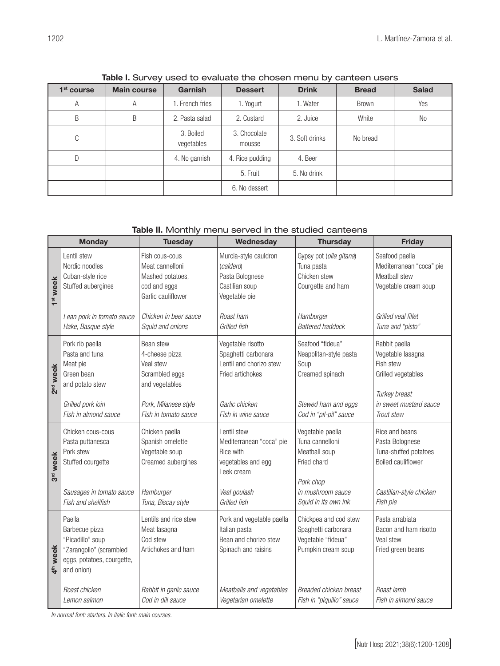| <u>the content and content and content and content and content and content and content and content and content and content and content and content and content and content and content and content and content and content and c</u> |                    |                         |                        |                |              |              |
|--------------------------------------------------------------------------------------------------------------------------------------------------------------------------------------------------------------------------------------|--------------------|-------------------------|------------------------|----------------|--------------|--------------|
| $1st$ course                                                                                                                                                                                                                         | <b>Main course</b> | <b>Garnish</b>          | <b>Dessert</b>         | <b>Drink</b>   | <b>Bread</b> | <b>Salad</b> |
| Α                                                                                                                                                                                                                                    | А                  | 1. French fries         | 1. Yogurt              | 1. Water       | <b>Brown</b> | Yes          |
| B                                                                                                                                                                                                                                    | B                  | 2. Pasta salad          | 2. Custard             | 2. Juice       | White        | No           |
| C                                                                                                                                                                                                                                    |                    | 3. Boiled<br>vegetables | 3. Chocolate<br>mousse | 3. Soft drinks | No bread     |              |
|                                                                                                                                                                                                                                      |                    | 4. No garnish           | 4. Rice pudding        | 4. Beer        |              |              |
|                                                                                                                                                                                                                                      |                    |                         | 5. Fruit               | 5. No drink    |              |              |
|                                                                                                                                                                                                                                      |                    |                         | 6. No dessert          |                |              |              |

Table I. Survey used to evaluate the chosen menu by canteen users

## Table II. Monthly menu served in the studied canteens

| <b>Monday</b>          |                                                                                                                             | <b>Tuesday</b>                                                                                                               | Wednesday                                                                                                                       | <b>Thursday</b>                                                                                                               | <b>Friday</b>                                                                                                                  |
|------------------------|-----------------------------------------------------------------------------------------------------------------------------|------------------------------------------------------------------------------------------------------------------------------|---------------------------------------------------------------------------------------------------------------------------------|-------------------------------------------------------------------------------------------------------------------------------|--------------------------------------------------------------------------------------------------------------------------------|
| 1 <sup>st</sup> week   | Lentil stew<br>Nordic noodles<br>Cuban-style rice<br>Stuffed aubergines                                                     | Fish cous-cous<br>Meat cannelloni<br>Mashed potatoes,<br>cod and eggs<br>Garlic cauliflower                                  | Murcia-style cauldron<br>(caldero)<br>Pasta Bolognese<br>Castilian soup<br>Vegetable pie                                        | Gypsy pot (olla gitana)<br>Tuna pasta<br>Chicken stew<br>Courgette and ham                                                    | Seafood paella<br>Mediterranean "coca" pie<br>Meatball stew<br>Vegetable cream soup                                            |
|                        | Lean pork in tomato sauce<br>Hake, Basque style                                                                             | Chicken in beer sauce<br>Squid and onions                                                                                    | Roast ham<br>Grilled fish                                                                                                       | Hamburger<br><b>Battered haddock</b>                                                                                          | Grilled veal fillet<br>Tuna and "pisto"                                                                                        |
| 2nd week               | Pork rib paella<br>Pasta and tuna<br>Meat pie<br>Green bean<br>and potato stew<br>Grilled pork loin<br>Fish in almond sauce | Bean stew<br>4-cheese pizza<br>Veal stew<br>Scrambled eggs<br>and vegetables<br>Pork, Milanese style<br>Fish in tomato sauce | Vegetable risotto<br>Spaghetti carbonara<br>Lentil and chorizo stew<br>Fried artichokes<br>Garlic chicken<br>Fish in wine sauce | Seafood "fideua"<br>Neapolitan-style pasta<br>Soup<br>Creamed spinach<br>Stewed ham and eggs<br>Cod in "pil-pil" sauce        | Rabbit paella<br>Vegetable lasagna<br>Fish stew<br>Grilled vegetables<br>Turkey breast<br>in sweet mustard sauce<br>Trout stew |
| week<br>3 <sub>o</sub> | Chicken cous-cous<br>Pasta puttanesca<br>Pork stew<br>Stuffed courgette<br>Sausages in tomato sauce<br>Fish and shellfish   | Chicken paella<br>Spanish omelette<br>Vegetable soup<br>Creamed aubergines<br>Hamburger<br>Tuna, Biscay style                | Lentil stew<br>Mediterranean "coca" pie<br>Rice with<br>vegetables and egg<br>Leek cream<br>Veal goulash<br>Grilled fish        | Vegetable paella<br>Tuna cannelloni<br>Meatball soup<br>Fried chard<br>Pork chop<br>in mushroom sauce<br>Squid in its own ink | Rice and beans<br>Pasta Bolognese<br>Tuna-stuffed potatoes<br><b>Boiled cauliflower</b><br>Castilian-style chicken<br>Fish pie |
| 4 <sup>th</sup> week   | Paella<br>Barbecue pizza<br>"Picadillo" soup<br>"Zarangollo" (scrambled<br>eggs, potatoes, courgette,<br>and onion)         | Lentils and rice stew<br>Meat lasagna<br>Cod stew<br>Artichokes and ham                                                      | Pork and vegetable paella<br>Italian pasta<br>Bean and chorizo stew<br>Spinach and raisins                                      | Chickpea and cod stew<br>Spaghetti carbonara<br>Vegetable "fideua"<br>Pumpkin cream soup                                      | Pasta arrabiata<br>Bacon and ham risotto<br>Veal stew<br>Fried green beans                                                     |
|                        | Roast chicken<br>Lemon salmon                                                                                               | Rabbit in garlic sauce<br>Cod in dill sauce                                                                                  | Meatballs and vegetables<br>Vegetarian omelette                                                                                 | Breaded chicken breast<br>Fish in "piquillo" sauce                                                                            | Roast lamb<br>Fish in almond sauce                                                                                             |

*In normal font: starters. In italic font: main courses.*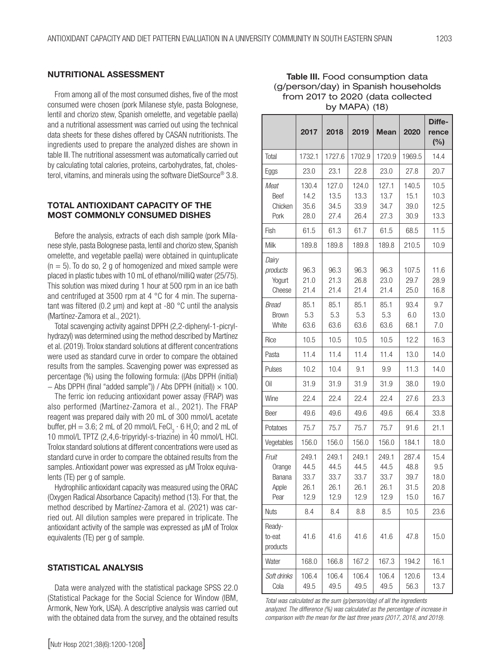#### NUTRITIONAL ASSESSMENT

From among all of the most consumed dishes, five of the most consumed were chosen (pork Milanese style, pasta Bolognese, lentil and chorizo stew, Spanish omelette, and vegetable paella) and a nutritional assessment was carried out using the technical data sheets for these dishes offered by CASAN nutritionists. The ingredients used to prepare the analyzed dishes are shown in table III. The nutritional assessment was automatically carried out by calculating total calories, proteins, carbohydrates, fat, cholesterol, vitamins, and minerals using the software DietSource® 3.8.

#### TOTAL ANTIOXIDANT CAPACITY OF THE MOST COMMONLY CONSUMED DISHES

Before the analysis, extracts of each dish sample (pork Milanese style, pasta Bolognese pasta, lentil and chorizo stew, Spanish omelette, and vegetable paella) were obtained in quintuplicate  $(n = 5)$ . To do so, 2 g of homogenized and mixed sample were placed in plastic tubes with 10 mL of ethanol/milliQ water (25/75). This solution was mixed during 1 hour at 500 rpm in an ice bath and centrifuged at 3500 rpm at 4 °C for 4 min. The supernatant was filtered (0.2 µm) and kept at -80 °C until the analysis (Martínez-Zamora et al., 2021).

Total scavenging activity against DPPH (2,2-diphenyl-1-picrylhydrazyl) was determined using the method described by Martínez et al. (2019). Trolox standard solutions at different concentrations were used as standard curve in order to compare the obtained results from the samples. Scavenging power was expressed as percentage (%) using the following formula: ((Abs DPPH (initial) − Abs DPPH (final "added sample")) / Abs DPPH (initial)) × 100.

The ferric ion reducing antioxidant power assay (FRAP) was also performed (Martínez-Zamora et al., 2021). The FRAP reagent was prepared daily with 20 mL of 300 mmol/L acetate buffer, pH = 3.6; 2 mL of 20 mmol/L FeCl<sub>3</sub>  $\cdot$  6 H<sub>2</sub>O; and 2 mL of 10 mmol/L TPTZ (2,4,6-tripyridyl-s-triazine) in 40 mmol/L HCl. Trolox standard solutions at different concentrations were used as standard curve in order to compare the obtained results from the samples. Antioxidant power was expressed as µM Trolox equivalents (TE) per g of sample.

Hydrophilic antioxidant capacity was measured using the ORAC (Oxygen Radical Absorbance Capacity) method (13). For that, the method described by Martínez-Zamora et al. (2021) was carried out. All dilution samples were prepared in triplicate. The antioxidant activity of the sample was expressed as µM of Trolox equivalents (TE) per g of sample.

#### STATISTICAL ANALYSIS

Data were analyzed with the statistical package SPSS 22.0 (Statistical Package for the Social Science for Window (IBM, Armonk, New York, USA). A descriptive analysis was carried out with the obtained data from the survey, and the obtained results

|                                            | 2017                                  | 2018                                  | 2019                                  | <b>Mean</b>                           | 2020                                  | Diffe-<br>rence<br>(%)              |
|--------------------------------------------|---------------------------------------|---------------------------------------|---------------------------------------|---------------------------------------|---------------------------------------|-------------------------------------|
| Total                                      | 1732.1                                | 1727.6                                | 1702.9                                | 1720.9                                | 1969.5                                | 14.4                                |
| Eggs                                       | 23.0                                  | 23.1                                  | 22.8                                  | 23.0                                  | 27.8                                  | 20.7                                |
| Meat<br>Beef<br>Chicken<br>Pork            | 130.4<br>14.2<br>35.6<br>28.0         | 127.0<br>13.5<br>34.5<br>27.4         | 124.0<br>13.3<br>33.9<br>26.4         | 127.1<br>13.7<br>34.7<br>27.3         | 140.5<br>15.1<br>39.0<br>30.9         | 10.5<br>10.3<br>12.5<br>13.3        |
| Fish                                       | 61.5                                  | 61.3                                  | 61.7                                  | 61.5                                  | 68.5                                  | 11.5                                |
| Milk                                       | 189.8                                 | 189.8                                 | 189.8                                 | 189.8                                 | 210.5                                 | 10.9                                |
| Dairy<br>products<br>Yogurt<br>Cheese      | 96.3<br>21.0<br>21.4                  | 96.3<br>21.3<br>21.4                  | 96.3<br>26.8<br>21.4                  | 96.3<br>23.0<br>21.4                  | 107.5<br>29.7<br>25.0                 | 11.6<br>28.9<br>16.8                |
| Bread<br><b>Brown</b><br>White             | 85.1<br>5.3<br>63.6                   | 85.1<br>5.3<br>63.6                   | 85.1<br>5.3<br>63.6                   | 85.1<br>5.3<br>63.6                   | 93.4<br>6.0<br>68.1                   | 9.7<br>13.0<br>7.0                  |
| Rice                                       | 10.5                                  | 10.5                                  | 10.5                                  | 10.5                                  | 12.2                                  | 16.3                                |
| Pasta                                      | 11.4                                  | 11.4                                  | 11.4                                  | 11.4                                  | 13.0                                  | 14.0                                |
| Pulses                                     | 10.2                                  | 10.4                                  | 9.1                                   | 9.9                                   | 11.3                                  | 14.0                                |
| Oil                                        | 31.9                                  | 31.9                                  | 31.9                                  | 31.9                                  | 38.0                                  | 19.0                                |
| Wine                                       | 22.4                                  | 22.4                                  | 22.4                                  | 22.4                                  | 27.6                                  | 23.3                                |
| Beer                                       | 49.6                                  | 49.6                                  | 49.6                                  | 49.6                                  | 66.4                                  | 33.8                                |
| Potatoes                                   | 75.7                                  | 75.7                                  | 75.7                                  | 75.7                                  | 91.6                                  | 21.1                                |
| Vegetables                                 | 156.0                                 | 156.0                                 | 156.0                                 | 156.0                                 | 184.1                                 | 18.0                                |
| Fruit<br>Orange<br>Banana<br>Apple<br>Pear | 249.1<br>44.5<br>33.7<br>26.1<br>12.9 | 249.1<br>44.5<br>33.7<br>26.1<br>12.9 | 249.1<br>44.5<br>33.7<br>26.1<br>12.9 | 249.1<br>44.5<br>33.7<br>26.1<br>12.9 | 287.4<br>48.8<br>39.7<br>31.5<br>15.0 | 15.4<br>9.5<br>18.0<br>20.8<br>16.7 |
| <b>Nuts</b>                                | 8.4                                   | 8.4                                   | 8.8                                   | 8.5                                   | 10.5                                  | 23.6                                |
| Ready-<br>to-eat<br>products               | 41.6                                  | 41.6                                  | 41.6                                  | 41.6                                  | 47.8                                  | 15.0                                |
| Water                                      | 168.0                                 | 166.8                                 | 167.2                                 | 167.3                                 | 194.2                                 | 16.1                                |
| Soft drinks<br>Cola                        | 106.4<br>49.5                         | 106.4<br>49.5                         | 106.4<br>49.5                         | 106.4<br>49.5                         | 120.6<br>56.3                         | 13.4<br>13.7                        |

#### Table III. Food consumption data (g/person/day) in Spanish households from 2017 to 2020 (data collected by MAPA) (18)

*Total was calculated as the sum (g/person/day) of all the ingredients analyzed. The difference (%) was calculated as the percentage of increase in comparison with the mean for the last three years (2017, 2018, and 2019).*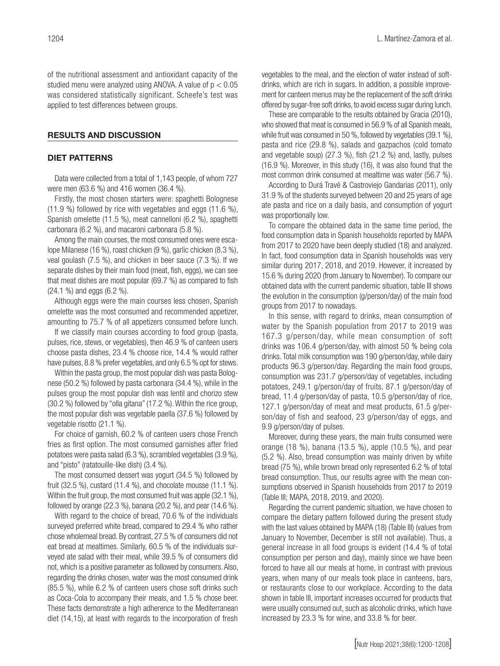of the nutritional assessment and antioxidant capacity of the studied menu were analyzed using ANOVA. A value of  $p < 0.05$ was considered statistically significant. Scheefe's test was

#### RESULTS AND DISCUSSION

applied to test differences between groups.

#### DIET PATTERNS

Data were collected from a total of 1,143 people, of whom 727 were men (63.6 %) and 416 women (36.4 %).

Firstly, the most chosen starters were: spaghetti Bolognese (11.9 %) followed by rice with vegetables and eggs (11.6 %), Spanish omelette (11.5 %), meat cannelloni (6.2 %), spaghetti carbonara (6.2 %), and macaroni carbonara (5.8 %).

Among the main courses, the most consumed ones were escalope Milanese (16 %), roast chicken (9 %), garlic chicken (8.3 %), veal goulash (7.5 %), and chicken in beer sauce (7.3 %). If we separate dishes by their main food (meat, fish, eggs), we can see that meat dishes are most popular (69.7 %) as compared to fish (24.1 %) and eggs (6.2 %).

Although eggs were the main courses less chosen, Spanish omelette was the most consumed and recommended appetizer, amounting to 75.7 % of all appetizers consumed before lunch.

If we classify main courses according to food group (pasta, pulses, rice, stews, or vegetables), then 46.9 % of canteen users choose pasta dishes, 23.4 % choose rice, 14.4 % would rather have pulses, 8.8 % prefer vegetables, and only 6.5 % opt for stews.

Within the pasta group, the most popular dish was pasta Bolognese (50.2 %) followed by pasta carbonara (34.4 %), while in the pulses group the most popular dish was lentil and chorizo stew (30.2 %) followed by "olla gitana" (17.2 %). Within the rice group, the most popular dish was vegetable paella (37.6 %) followed by vegetable risotto (21.1 %).

For choice of garnish, 60.2 % of canteen users chose French fries as first option. The most consumed garnishes after fried potatoes were pasta salad (6.3 %), scrambled vegetables (3.9 %), and "pisto" (ratatouille-like dish) (3.4 %).

The most consumed dessert was yogurt (34.5 %) followed by fruit (32.5 %), custard (11.4 %), and chocolate mousse (11.1 %). Within the fruit group, the most consumed fruit was apple (32.1 %), followed by orange (22.3 %), banana (20.2 %), and pear (14.6 %).

With regard to the choice of bread, 70.6 % of the individuals surveyed preferred white bread, compared to 29.4 % who rather chose wholemeal bread. By contrast, 27.5 % of consumers did not eat bread at mealtimes. Similarly, 60.5 % of the individuals surveyed ate salad with their meal, while 39.5 % of consumers did not, which is a positive parameter as followed by consumers. Also, regarding the drinks chosen, water was the most consumed drink (85.5 %), while 6.2 % of canteen users chose soft drinks such as Coca-Cola to accompany their meals, and 1.5 % chose beer. These facts demonstrate a high adherence to the Mediterranean diet (14,15), at least with regards to the incorporation of fresh

vegetables to the meal, and the election of water instead of softdrinks, which are rich in sugars. In addition, a possible improvement for canteen menus may be the replacement of the soft drinks offered by sugar-free soft drinks, to avoid excess sugar during lunch.

These are comparable to the results obtained by Gracia (2010), who showed that meat is consumed in 56.9 % of all Spanish meals, while fruit was consumed in 50 %, followed by vegetables (39.1 %), pasta and rice (29.8 %), salads and gazpachos (cold tomato and vegetable soup) (27.3 %), fish (21.2 %) and, lastly, pulses (16.9 %). Moreover, in this study (16), it was also found that the most common drink consumed at mealtime was water (56.7 %).

According to Durá Travé & Castroviejo Gandarias (2011), only 31.9 % of the students surveyed between 20 and 25 years of age ate pasta and rice on a daily basis, and consumption of yogurt was proportionally low.

To compare the obtained data in the same time period, the food consumption data in Spanish households reported by MAPA from 2017 to 2020 have been deeply studied (18) and analyzed. In fact, food consumption data in Spanish households was very similar during 2017, 2018, and 2019. However, it increased by 15.6 % during 2020 (from January to November). To compare our obtained data with the current pandemic situation, table III shows the evolution in the consumption (g/person/day) of the main food groups from 2017 to nowadays.

In this sense, with regard to drinks, mean consumption of water by the Spanish population from 2017 to 2019 was 167.3 g/person/day, while mean consumption of soft drinks was 106.4 g/person/day, with almost 50 % being cola drinks. Total milk consumption was 190 g/person/day, while dairy products 96.3 g/person/day. Regarding the main food groups, consumption was 231.7 g/person/day of vegetables, including potatoes, 249.1 g/person/day of fruits, 87.1 g/person/day of bread, 11.4 g/person/day of pasta, 10.5 g/person/day of rice, 127.1 g/person/day of meat and meat products, 61.5 g/person/day of fish and seafood, 23 g/person/day of eggs, and 9.9 g/person/day of pulses.

Moreover, during these years, the main fruits consumed were orange (18 %), banana (13.5 %), apple (10.5 %), and pear (5.2 %). Also, bread consumption was mainly driven by white bread (75 %), while brown bread only represented 6.2 % of total bread consumption. Thus, our results agree with the mean consumptions observed in Spanish households from 2017 to 2019 (Table III; MAPA, 2018, 2019, and 2020).

Regarding the current pandemic situation, we have chosen to compare the dietary pattern followed during the present study with the last values obtained by MAPA (18) (Table III) (values from January to November, December is still not available). Thus, a general increase in all food groups is evident (14.4 % of total consumption per person and day), mainly since we have been forced to have all our meals at home, in contrast with previous years, when many of our meals took place in canteens, bars, or restaurants close to our workplace. According to the data shown in table III, important increases occurred for products that were usually consumed out, such as alcoholic drinks, which have increased by 23.3 % for wine, and 33.8 % for beer.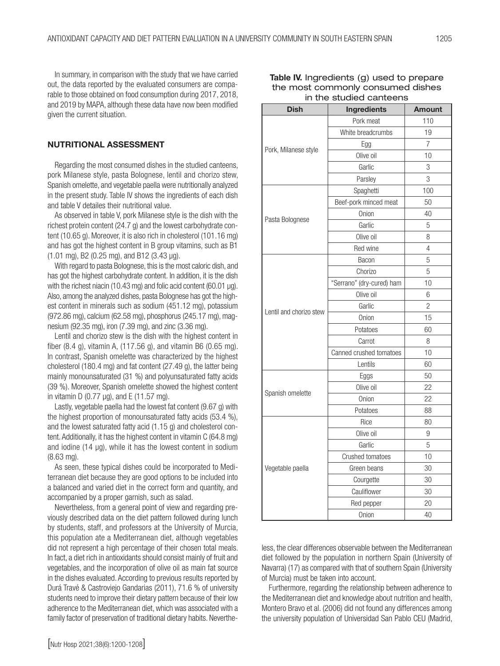In summary, in comparison with the study that we have carried out, the data reported by the evaluated consumers are comparable to those obtained on food consumption during 2017, 2018, and 2019 by MAPA, although these data have now been modified given the current situation.

#### NUTRITIONAL ASSESSMENT

Regarding the most consumed dishes in the studied canteens, pork Milanese style, pasta Bolognese, lentil and chorizo stew, Spanish omelette, and vegetable paella were nutritionally analyzed in the present study. Table IV shows the ingredients of each dish and table V detailes their nutritional value.

As observed in table V, pork Milanese style is the dish with the richest protein content (24.7 g) and the lowest carbohydrate content (10.65 g). Moreover, it is also rich in cholesterol (101.16 mg) and has got the highest content in B group vitamins, such as B1  $(1.01 \text{ mg})$ , B2  $(0.25 \text{ mg})$ , and B12  $(3.43 \text{ µg})$ .

With regard to pasta Bolognese, this is the most caloric dish, and has got the highest carbohydrate content. In addition, it is the dish with the richest niacin (10.43 mg) and folic acid content (60.01 µg). Also, among the analyzed dishes, pasta Bolognese has got the highest content in minerals such as sodium (451.12 mg), potassium (972.86 mg), calcium (62.58 mg), phosphorus (245.17 mg), magnesium (92.35 mg), iron (7.39 mg), and zinc (3.36 mg).

Lentil and chorizo stew is the dish with the highest content in fiber (8.4 g), vitamin A, (117.56 g), and vitamin B6 (0.65 mg). In contrast, Spanish omelette was characterized by the highest cholesterol (180.4 mg) and fat content (27.49 g), the latter being mainly monounsaturated (31 %) and polyunsaturated fatty acids (39 %). Moreover, Spanish omelette showed the highest content in vitamin D (0.77  $\mu$ g), and E (11.57 mg).

Lastly, vegetable paella had the lowest fat content (9.67 g) with the highest proportion of monounsaturated fatty acids (53.4 %), and the lowest saturated fatty acid (1.15 g) and cholesterol content. Additionally, it has the highest content in vitamin C (64.8 mg) and iodine (14  $\mu$ g), while it has the lowest content in sodium (8.63 mg).

As seen, these typical dishes could be incorporated to Mediterranean diet because they are good options to be included into a balanced and varied diet in the correct form and quantity, and accompanied by a proper garnish, such as salad.

Nevertheless, from a general point of view and regarding previously described data on the diet pattern followed during lunch by students, staff, and professors at the University of Murcia, this population ate a Mediterranean diet, although vegetables did not represent a high percentage of their chosen total meals. In fact, a diet rich in antioxidants should consist mainly of fruit and vegetables, and the incorporation of olive oil as main fat source in the dishes evaluated. According to previous results reported by Durá Travé & Castroviejo Gandarias (2011), 71.6 % of university students need to improve their dietary pattern because of their low adherence to the Mediterranean diet, which was associated with a family factor of preservation of traditional dietary habits. Neverthe-

| <b>Dish</b>             | <b>Ingredients</b>        | <b>Amount</b>  |  |
|-------------------------|---------------------------|----------------|--|
|                         | Pork meat                 | 110            |  |
|                         | White breadcrumbs         | 19             |  |
| Pork, Milanese style    | Egg                       | $\overline{7}$ |  |
|                         | Olive oil                 | 10             |  |
|                         | Garlic                    | 3              |  |
|                         | Parsley                   | 3              |  |
|                         | Spaghetti                 | 100            |  |
|                         | Beef-pork minced meat     | 50             |  |
| Pasta Bolognese         | Onion                     | 40             |  |
|                         | Garlic                    | 5              |  |
|                         | Olive oil                 | 8              |  |
|                         | Red wine                  | 4              |  |
|                         | Bacon                     | 5              |  |
|                         | Chorizo                   | 5              |  |
|                         | "Serrano" (dry-cured) ham | 10             |  |
|                         | Olive oil                 | 6              |  |
| Lentil and chorizo stew | Garlic                    | 2              |  |
|                         | Onion                     | 15             |  |
|                         | Potatoes                  | 60             |  |
|                         | Carrot                    | 8              |  |
|                         | Canned crushed tomatoes   | 10             |  |
|                         | Lentils                   | 60             |  |
|                         | Eggs                      | 50             |  |
| Spanish omelette        | Olive oil                 | 22             |  |
|                         | Onion                     | 22             |  |
|                         | Potatoes                  | 88             |  |
|                         | Rice                      | 80             |  |
|                         | Olive oil                 | 9              |  |
|                         | Garlic                    | 5              |  |
|                         | Crushed tomatoes          | 10             |  |
| Vegetable paella        | Green beans               | 30             |  |
|                         | Courgette                 | 30             |  |
|                         | Cauliflower               | 30             |  |
|                         | Red pepper                | 20             |  |
|                         | Onion                     | 40             |  |

Table IV. Ingredients (g) used to prepare the most commonly consumed dishes in the studied canteens

less, the clear differences observable between the Mediterranean diet followed by the population in northern Spain (University of Navarra) (17) as compared with that of southern Spain (University of Murcia) must be taken into account.

Furthermore, regarding the relationship between adherence to the Mediterranean diet and knowledge about nutrition and health, Montero Bravo et al. (2006) did not found any differences among the university population of Universidad San Pablo CEU (Madrid,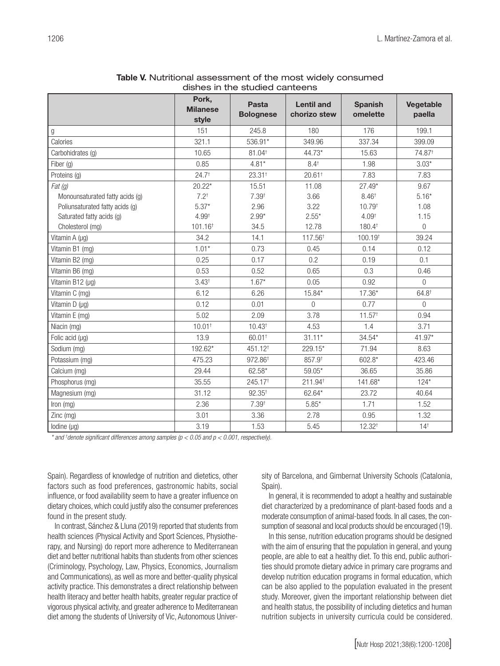|                                 |                                   | aisrics in the studied canteens  |                                   |                            |                     |
|---------------------------------|-----------------------------------|----------------------------------|-----------------------------------|----------------------------|---------------------|
|                                 | Pork,<br><b>Milanese</b><br>style | <b>Pasta</b><br><b>Bolognese</b> | <b>Lentil and</b><br>chorizo stew | <b>Spanish</b><br>omelette | Vegetable<br>paella |
| g                               | 151                               | 245.8                            | 180                               | 176                        | 199.1               |
| Calories                        | 321.1                             | 536.91*                          | 349.96                            | 337.34                     | 399.09              |
| Carbohidrates (g)               | 10.65                             | $81.04$ <sup>+</sup>             | 44.73*                            | 15.63                      | 74.87 <sup>+</sup>  |
| Fiber (g)                       | 0.85                              | $4.81*$                          | $8.4^{+}$                         | 1.98                       | $3.03*$             |
| Proteins (g)                    | 24.7 <sup>†</sup>                 | 23.31 <sup>+</sup>               | $20.61$ <sup>+</sup>              | 7.83                       | 7.83                |
| Fat(g)                          | $20.22*$                          | 15.51                            | 11.08                             | $27.49*$                   | 9.67                |
| Monounsaturated fatty acids (g) | $7.2^{+}$                         | $7.39^{+}$                       | 3.66                              | 8.46 <sup>†</sup>          | $5.16*$             |
| Poliunsaturated fatty acids (g) | $5.37*$                           | 2.96                             | 3.22                              | 10.79 <sup>t</sup>         | 1.08                |
| Saturated fatty acids (g)       | 4.99 <sup>+</sup>                 | $2.99*$                          | $2.55*$                           | 4.09 <sup>†</sup>          | 1.15                |
| Cholesterol (mg)                | 101.16 <sup>+</sup>               | 34.5                             | 12.78                             | 180.4 <sup>+</sup>         | $\boldsymbol{0}$    |
| Vitamin A (µg)                  | 34.2                              | 14.1                             | 117.56 <sup>+</sup>               | 100.19 <sup>t</sup>        | 39.24               |
| Vitamin B1 (mg)                 | $1.01*$                           | 0.73                             | 0.45                              | 0.14                       | 0.12                |
| Vitamin B2 (mg)                 | 0.25                              | 0.17                             | 0.2                               | 0.19                       | 0.1                 |
| Vitamin B6 (mg)                 | 0.53                              | 0.52                             | 0.65                              | 0.3                        | 0.46                |
| Vitamin B12 (µg)                | 3.43 <sup>†</sup>                 | $1.67*$                          | 0.05                              | 0.92                       | $\mathbf 0$         |
| Vitamin C (mg)                  | 6.12                              | 6.26                             | 15.84*                            | $17.36*$                   | $64.8^+$            |
| Vitamin D (µg)                  | 0.12                              | 0.01                             | $\boldsymbol{0}$                  | 0.77                       | $\overline{0}$      |
| Vitamin E (mg)                  | 5.02                              | 2.09                             | 3.78                              | $11.57^+$                  | 0.94                |
| Niacin (mg)                     | 10.01 <sup>†</sup>                | 10.43 <sup>†</sup>               | 4.53                              | 1.4                        | 3.71                |
| Folic acid (µg)                 | 13.9                              | 60.01 <sup>+</sup>               | $31.11*$                          | $34.54*$                   | 41.97*              |
| Sodium (mg)                     | 192.62*                           | 451.12 <sup>+</sup>              | 229.15*                           | 71.94                      | 8.63                |
| Potassium (mg)                  | 475.23                            | 972.86 <sup>+</sup>              | 857.9                             | 602.8*                     | 423.46              |
| Calcium (mg)                    | 29.44                             | 62.58*                           | $59.05*$                          | 36.65                      | 35.86               |
| Phosphorus (mg)                 | 35.55                             | 245.17 <sup>+</sup>              | 211.94 <sup>t</sup>               | 141.68*                    | $124*$              |
| Magnesium (mg)                  | 31.12                             | $92.35^{+}$                      | 62.64*                            | 23.72                      | 40.64               |
| Iron (mg)                       | 2.36                              | 7.39 <sup>†</sup>                | $5.85*$                           | 1.71                       | 1.52                |
| Zinc (mg)                       | 3.01                              | 3.36                             | 2.78                              | 0.95                       | 1.32                |
| lodine (µg)                     | 3.19                              | 1.53                             | 5.45                              | $12.32^{+}$                | $14^{\dagger}$      |

| Table V. Nutritional assessment of the most widely consumed |  |
|-------------------------------------------------------------|--|
| dishes in the studied canteens                              |  |

*\* and † denote significant differences among samples (p < 0.05 and p < 0.001, respectively).*

Spain). Regardless of knowledge of nutrition and dietetics, other factors such as food preferences, gastronomic habits, social influence, or food availability seem to have a greater influence on dietary choices, which could justify also the consumer preferences found in the present study.

In contrast, Sánchez & Lluna (2019) reported that students from health sciences (Physical Activity and Sport Sciences, Physiotherapy, and Nursing) do report more adherence to Mediterranean diet and better nutritional habits than students from other sciences (Criminology, Psychology, Law, Physics, Economics, Journalism and Communications), as well as more and better-quality physical activity practice. This demonstrates a direct relationship between health literacy and better health habits, greater regular practice of vigorous physical activity, and greater adherence to Mediterranean diet among the students of University of Vic, Autonomous University of Barcelona, and Gimbernat University Schools (Catalonia, Spain).

In general, it is recommended to adopt a healthy and sustainable diet characterized by a predominance of plant-based foods and a moderate consumption of animal-based foods. In all cases, the consumption of seasonal and local products should be encouraged (19).

In this sense, nutrition education programs should be designed with the aim of ensuring that the population in general, and young people, are able to eat a healthy diet. To this end, public authorities should promote dietary advice in primary care programs and develop nutrition education programs in formal education, which can be also applied to the population evaluated in the present study. Moreover, given the important relationship between diet and health status, the possibility of including dietetics and human nutrition subjects in university curricula could be considered.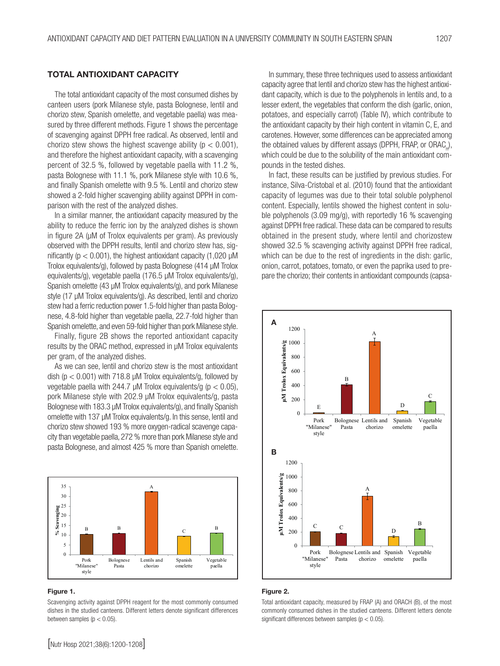#### TOTAL ANTIOXIDANT CAPACITY

The total antioxidant capacity of the most consumed dishes by canteen users (pork Milanese style, pasta Bolognese, lentil and chorizo stew, Spanish omelette, and vegetable paella) was measured by three different methods. Figure 1 shows the percentage of scavenging against DPPH free radical. As observed, lentil and chorizo stew shows the highest scavenge ability ( $p < 0.001$ ), and therefore the highest antioxidant capacity, with a scavenging percent of 32.5 %, followed by vegetable paella with 11.2 %, pasta Bolognese with 11.1 %, pork Milanese style with 10.6 %, and finally Spanish omelette with 9.5 %. Lentil and chorizo stew showed a 2-fold higher scavenging ability against DPPH in comparison with the rest of the analyzed dishes.

In a similar manner, the antioxidant capacity measured by the ability to reduce the ferric ion by the analyzed dishes is shown in figure 2A (µM of Trolox equivalents per gram). As previously observed with the DPPH results, lentil and chorizo stew has, significantly ( $p < 0.001$ ), the highest antioxidant capacity (1,020 µM Trolox equivalents/g), followed by pasta Bolognese (414 µM Trolox equivalents/g), vegetable paella (176.5 µM Trolox equivalents/g), Spanish omelette (43 µM Trolox equivalents/g), and pork Milanese style (17 µM Trolox equivalents/g). As described, lentil and chorizo stew had a ferric reduction power 1.5-fold higher than pasta Bolognese, 4.8-fold higher than vegetable paella, 22.7-fold higher than Spanish omelette, and even 59-fold higher than pork Milanese style.

Finally, figure 2B shows the reported antioxidant capacity results by the ORAC method, expressed in µM Trolox equivalents per gram, of the analyzed dishes.

As we can see, lentil and chorizo stew is the most antioxidant dish ( $p < 0.001$ ) with 718.8  $\mu$ M Trolox equivalents/g, followed by vegetable paella with 244.7  $\mu$ M Trolox equivalents/g ( $p < 0.05$ ), pork Milanese style with 202.9 µM Trolox equivalents/g, pasta Bolognese with 183.3 µM Trolox equivalents/g), and finally Spanish omelette with 137 µM Trolox equivalents/g. In this sense, lentil and chorizo stew showed 193 % more oxygen-radical scavenge capacity than vegetable paella, 272 % more than pork Milanese style and pasta Bolognese, and almost 425 % more than Spanish omelette.



#### Figure 1.

Scavenging activity against DPPH reagent for the most commonly consumed dishes in the studied canteens. Different letters denote significant differences between samples ( $p < 0.05$ ).

In summary, these three techniques used to assess antioxidant capacity agree that lentil and chorizo stew has the highest antioxidant capacity, which is due to the polyphenols in lentils and, to a lesser extent, the vegetables that conform the dish (garlic, onion, potatoes, and especially carrot) (Table IV), which contribute to the antioxidant capacity by their high content in vitamin C, E, and carotenes. However, some differences can be appreciated among the obtained values by different assays (DPPH, FRAP, or ORAC<sub>H</sub>), which could be due to the solubility of the main antioxidant compounds in the tested dishes.

In fact, these results can be justified by previous studies. For instance, Silva-Cristobal et al. (2010) found that the antioxidant capacity of legumes was due to their total soluble polyphenol content. Especially, lentils showed the highest content in soluble polyphenols (3.09 mg/g), with reportedly 16 % scavenging against DPPH free radical. These data can be compared to results obtained in the present study, where lentil and chorizostew showed 32.5 % scavenging activity against DPPH free radical, which can be due to the rest of ingredients in the dish: garlic, onion, carrot, potatoes, tomato, or even the paprika used to prepare the chorizo; their contents in antioxidant compounds (capsa-



#### Figure 2.

Total antioxidant capacity, measured by FRAP (A) and ORACH (B), of the most commonly consumed dishes in the studied canteens. Different letters denote significant differences between samples ( $p < 0.05$ ).